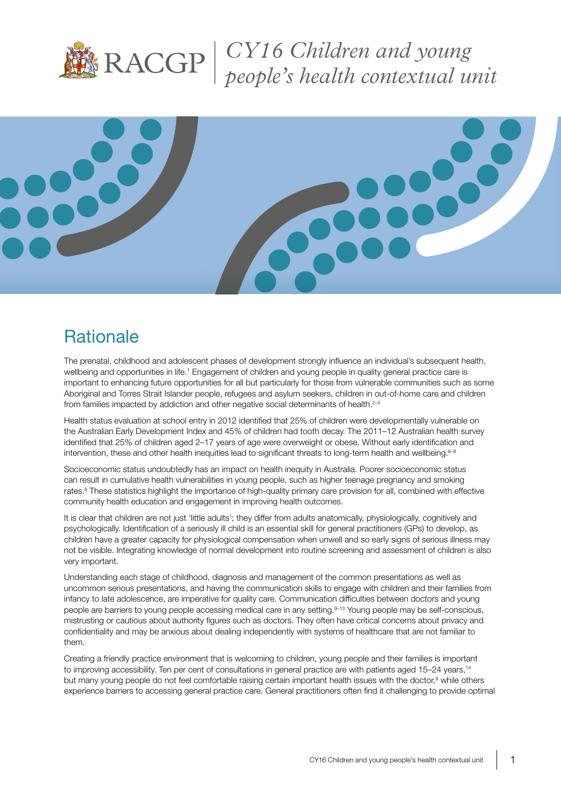

*CY16 Children and young people's health contextual unit*



# **Rationale**

The prenatal, childhood and adolescent phases of development strongly influence an individual's subsequent health, wellbeing and opportunities in life.<sup>1</sup> Engagement of children and young people in quality general practice care is important to enhancing future opportunities for all but particularly for those from vulnerable communities such as some Aboriginal and Torres Strait Islander people, refugees and asylum seekers, children in out-of-home care and children from families impacted by addiction and other negative social determinants of health.<sup>2-5</sup>

Health status evaluation at school entry in 2012 identified that 25% of children were developmentally vulnerable on the Australian Early Development Index and 45% of children had tooth decay. The 2011–12 Australian health survey identified that 25% of children aged 2–17 years of age were overweight or obese. Without early identification and intervention, these and other health inequities lead to significant threats to long-term health and wellbeing.<sup>6-8</sup>

Socioeconomic status undoubtedly has an impact on health inequity in Australia. Poorer socioeconomic status can result in cumulative health vulnerabilities in young people, such as higher teenage pregnancy and smoking rates.<sup>8</sup> These statistics highlight the importance of high-quality primary care provision for all, combined with effective community health education and engagement in improving health outcomes.

It is clear that children are not just 'little adults'; they differ from adults anatomically, physiologically, cognitively and psychologically. Identification of a seriously ill child is an essential skill for general practitioners (GPs) to develop, as children have a greater capacity for physiological compensation when unwell and so early signs of serious illness may not be visible. Integrating knowledge of normal development into routine screening and assessment of children is also very important.

Understanding each stage of childhood, diagnosis and management of the common presentations as well as uncommon serious presentations, and having the communication skills to engage with children and their families from infancy to late adolescence, are imperative for quality care. Communication difficulties between doctors and young people are barriers to young people accessing medical care in any setting.<sup>9-13</sup> Young people may be self-conscious, mistrusting or cautious about authority figures such as doctors. They often have critical concerns about privacy and confidentiality and may be anxious about dealing independently with systems of healthcare that are not familiar to them.

Creating a friendly practice environment that is welcoming to children, young people and their families is important to improving accessibility. Ten per cent of consultations in general practice are with patients aged 15–24 years,<sup>14</sup> but many young people do not feel comfortable raising certain important health issues with the doctor,<sup>9</sup> while others experience barriers to accessing general practice care. General practitioners often find it challenging to provide optimal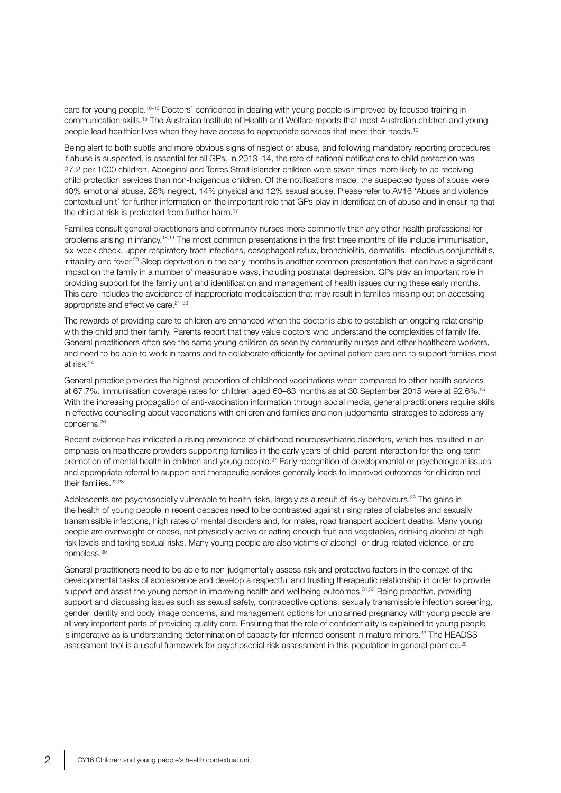care for young people.<sup>10–13</sup> Doctors' confidence in dealing with young people is improved by focused training in communication skills.15 The Australian Institute of Health and Welfare reports that most Australian children and young people lead healthier lives when they have access to appropriate services that meet their needs.<sup>16</sup>

Being alert to both subtle and more obvious signs of neglect or abuse, and following mandatory reporting procedures if abuse is suspected, is essential for all GPs. In 2013–14, the rate of national notifications to child protection was 27.2 per 1000 children. Aboriginal and Torres Strait Islander children were seven times more likely to be receiving child protection services than non-Indigenous children. Of the notifications made, the suspected types of abuse were 40% emotional abuse, 28% neglect, 14% physical and 12% sexual abuse. Please refer to AV16 'Abuse and violence contextual unit' for further information on the important role that GPs play in identification of abuse and in ensuring that the child at risk is protected from further harm.<sup>17</sup>

Families consult general practitioners and community nurses more commonly than any other health professional for problems arising in infancy.<sup>18,19</sup> The most common presentations in the first three months of life include immunisation, six-week check, upper respiratory tract infections, oesophageal reflux, bronchiolitis, dermatitis, infectious conjunctivitis, irritability and fever.<sup>20</sup> Sleep deprivation in the early months is another common presentation that can have a significant impact on the family in a number of measurable ways, including postnatal depression. GPs play an important role in providing support for the family unit and identification and management of health issues during these early months. This care includes the avoidance of inappropriate medicalisation that may result in families missing out on accessing appropriate and effective care.<sup>21-23</sup>

The rewards of providing care to children are enhanced when the doctor is able to establish an ongoing relationship with the child and their family. Parents report that they value doctors who understand the complexities of family life. General practitioners often see the same young children as seen by community nurses and other healthcare workers, and need to be able to work in teams and to collaborate efficiently for optimal patient care and to support families most at risk.24

General practice provides the highest proportion of childhood vaccinations when compared to other health services at 67.7%. Immunisation coverage rates for children aged 60–63 months as at 30 September 2015 were at 92.6%.25 With the increasing propagation of anti-vaccination information through social media, general practitioners require skills in effective counselling about vaccinations with children and families and non-judgemental strategies to address any concerns.26

Recent evidence has indicated a rising prevalence of childhood neuropsychiatric disorders, which has resulted in an emphasis on healthcare providers supporting families in the early years of child–parent interaction for the long-term promotion of mental health in children and young people.27 Early recognition of developmental or psychological issues and appropriate referral to support and therapeutic services generally leads to improved outcomes for children and their families.<sup>22,28</sup>

Adolescents are psychosocially vulnerable to health risks, largely as a result of risky behaviours.<sup>29</sup> The gains in the health of young people in recent decades need to be contrasted against rising rates of diabetes and sexually transmissible infections, high rates of mental disorders and, for males, road transport accident deaths. Many young people are overweight or obese, not physically active or eating enough fruit and vegetables, drinking alcohol at highrisk levels and taking sexual risks. Many young people are also victims of alcohol- or drug-related violence, or are homeless<sup>30</sup>

General practitioners need to be able to non-judgmentally assess risk and protective factors in the context of the developmental tasks of adolescence and develop a respectful and trusting therapeutic relationship in order to provide support and assist the young person in improving health and wellbeing outcomes.<sup>31,32</sup> Being proactive, providing support and discussing issues such as sexual safety, contraceptive options, sexually transmissible infection screening, gender identity and body image concerns, and management options for unplanned pregnancy with young people are all very important parts of providing quality care. Ensuring that the role of confidentiality is explained to young people is imperative as is understanding determination of capacity for informed consent in mature minors.<sup>33</sup> The HEADSS assessment tool is a useful framework for psychosocial risk assessment in this population in general practice.<sup>29</sup>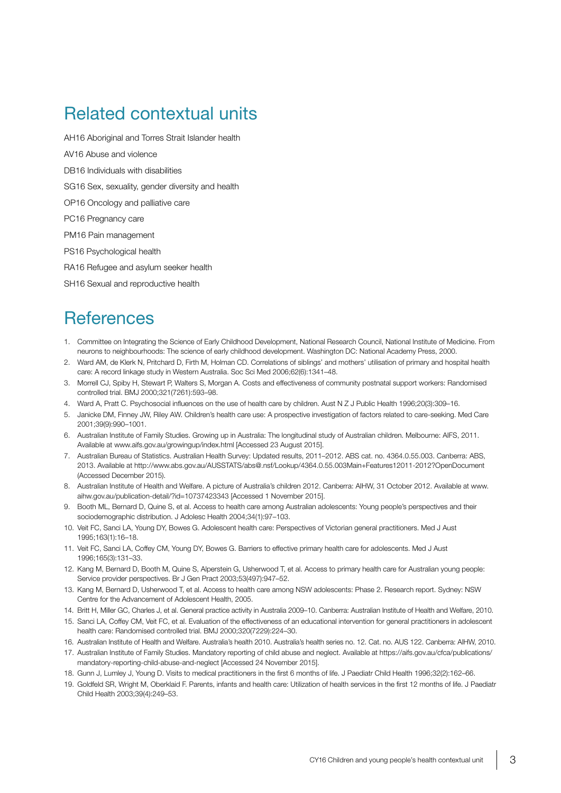# Related contextual units

AH16 Aboriginal and Torres Strait Islander health

- AV16 Abuse and violence
- DB16 Individuals with disabilities

SG16 Sex, sexuality, gender diversity and health

OP16 Oncology and palliative care

PC16 Pregnancy care

PM16 Pain management

PS16 Psychological health

RA16 Refugee and asylum seeker health

SH16 Sexual and reproductive health

#### **References**

- 1. Committee on Integrating the Science of Early Childhood Development, National Research Council, National Institute of Medicine. From neurons to neighbourhoods: The science of early childhood development. Washington DC: National Academy Press, 2000.
- 2. Ward AM, de Klerk N, Pritchard D, Firth M, Holman CD. Correlations of siblings' and mothers' utilisation of primary and hospital health care: A record linkage study in Western Australia. Soc Sci Med 2006;62(6):1341–48.
- 3. Morrell CJ, Spiby H, Stewart P, Walters S, Morgan A. Costs and effectiveness of community postnatal support workers: Randomised controlled trial. BMJ 2000;321(7261):593–98.
- 4. Ward A, Pratt C. Psychosocial influences on the use of health care by children. Aust N Z J Public Health 1996;20(3):309–16.
- 5. Janicke DM, Finney JW, Riley AW. Children's health care use: A prospective investigation of factors related to care-seeking. Med Care 2001;39(9):990–1001.
- 6. Australian Institute of Family Studies. Growing up in Australia: The longitudinal study of Australian children. Melbourne: AIFS, 2011. Available at www.aifs.gov.au/growingup/index.html [Accessed 23 August 2015].
- 7. Australian Bureau of Statistics. Australian Health Survey: Updated results, 2011–2012. ABS cat. no. 4364.0.55.003. Canberra: ABS, 2013. Available at http://www.abs.gov.au/AUSSTATS/abs@.nsf/Lookup/4364.0.55.003Main+Features12011-2012?OpenDocument (Accessed December 2015).
- 8. Australian Institute of Health and Welfare. A picture of Australia's children 2012. Canberra: AIHW, 31 October 2012. Available at www. aihw.gov.au/publication-detail/?id=10737423343 [Accessed 1 November 2015].
- 9. Booth ML, Bernard D, Quine S, et al. Access to health care among Australian adolescents: Young people's perspectives and their sociodemographic distribution. J Adolesc Health 2004;34(1):97–103.
- 10. Veit FC, Sanci LA, Young DY, Bowes G. Adolescent health care: Perspectives of Victorian general practitioners. Med J Aust 1995;163(1):16–18.
- 11. Veit FC, Sanci LA, Coffey CM, Young DY, Bowes G. Barriers to effective primary health care for adolescents. Med J Aust 1996;165(3):131–33.
- 12. Kang M, Bernard D, Booth M, Quine S, Alperstein G, Usherwood T, et al. Access to primary health care for Australian young people: Service provider perspectives. Br J Gen Pract 2003;53(497):947–52.
- 13. Kang M, Bernard D, Usherwood T, et al. Access to health care among NSW adolescents: Phase 2. Research report. Sydney: NSW Centre for the Advancement of Adolescent Health, 2005.
- 14. Britt H, Miller GC, Charles J, et al. General practice activity in Australia 2009–10. Canberra: Australian Institute of Health and Welfare, 2010.
- 15. Sanci LA, Coffey CM, Veit FC, et al. Evaluation of the effectiveness of an educational intervention for general practitioners in adolescent health care: Randomised controlled trial. BMJ 2000;320(7229):224–30.
- 16. Australian Institute of Health and Welfare. Australia's health 2010. Australia's health series no. 12. Cat. no. AUS 122. Canberra: AIHW, 2010.
- 17. Australian Institute of Family Studies. Mandatory reporting of child abuse and neglect. Available at [https://aifs.gov.au/cfca/publications/](https://aifs.gov.au/cfca/publications/mandatory-reporting-child-abuse-and-neglect) [mandatory-reporting-child-abuse-and-neglect](https://aifs.gov.au/cfca/publications/mandatory-reporting-child-abuse-and-neglect) [Accessed 24 November 2015].
- 18. Gunn J, Lumley J, Young D. Visits to medical practitioners in the first 6 months of life. J Paediatr Child Health 1996;32(2):162–66.
- 19. Goldfeld SR, Wright M, Oberklaid F. Parents, infants and health care: Utilization of health services in the first 12 months of life. J Paediatr Child Health 2003;39(4):249–53.